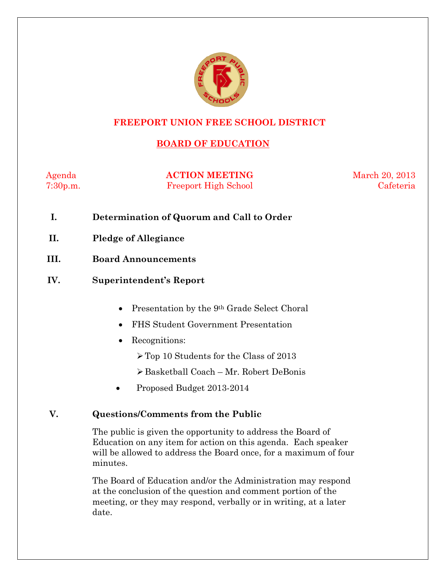

#### **FREEPORT UNION FREE SCHOOL DISTRICT**

# **BOARD OF EDUCATION**

Agenda **ACTION MEETING** March 20, 2013 7:30p.m. Freeport High School Cafeteria

- **I. Determination of Quorum and Call to Order**
- **II. Pledge of Allegiance**
- **III. Board Announcements**
- **IV. Superintendent's Report** 
	- Presentation by the 9<sup>th</sup> Grade Select Choral
	- FHS Student Government Presentation
	- Recognitions:
		- Top 10 Students for the Class of 2013
		- Basketball Coach Mr. Robert DeBonis
	- Proposed Budget 2013-2014

#### **V. Questions/Comments from the Public**

The public is given the opportunity to address the Board of Education on any item for action on this agenda. Each speaker will be allowed to address the Board once, for a maximum of four minutes.

The Board of Education and/or the Administration may respond at the conclusion of the question and comment portion of the meeting, or they may respond, verbally or in writing, at a later date.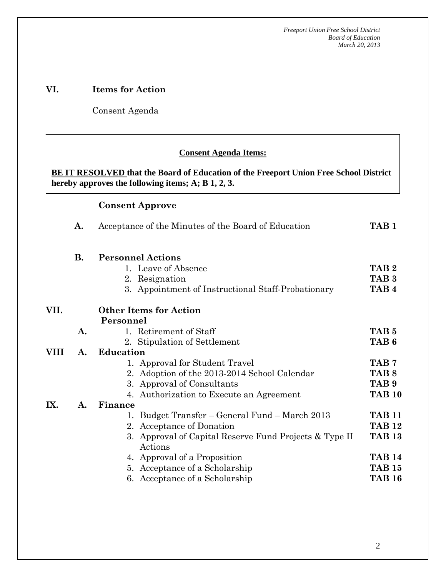#### **VI. Items for Action**

Consent Agenda

 **AA. Consent - Approve** 

#### **Consent Agenda Items:**

**BE IT RESOLVED that the Board of Education of the Freeport Union Free School District hereby approves the following items; A; B 1, 2, 3.** 

#### **Consent Approve**

 *Acceptance of the Minutes*  $\mathbf{A}$ 

|      | A.        | TAB <sub>1</sub>                                                  |                  |  |  |  |  |
|------|-----------|-------------------------------------------------------------------|------------------|--|--|--|--|
|      | <b>B.</b> | <b>Personnel Actions</b>                                          |                  |  |  |  |  |
|      |           | 1. Leave of Absence                                               | TAB <sub>2</sub> |  |  |  |  |
|      |           | 2. Resignation                                                    | TAB <sub>3</sub> |  |  |  |  |
|      |           | 3. Appointment of Instructional Staff-Probationary                | TAB <sub>4</sub> |  |  |  |  |
| VII. |           | <b>Other Items for Action</b>                                     |                  |  |  |  |  |
|      |           | Personnel                                                         |                  |  |  |  |  |
|      | A.        | 1. Retirement of Staff                                            | TAB <sub>5</sub> |  |  |  |  |
|      |           | 2. Stipulation of Settlement                                      | TAB <sub>6</sub> |  |  |  |  |
| VIII | A.        | <b>Education</b>                                                  |                  |  |  |  |  |
|      |           | 1. Approval for Student Travel                                    | TAB <sub>7</sub> |  |  |  |  |
|      |           | 2. Adoption of the 2013-2014 School Calendar                      | TAB <sub>8</sub> |  |  |  |  |
|      |           | 3. Approval of Consultants                                        | TAB <sub>9</sub> |  |  |  |  |
|      |           | 4. Authorization to Execute an Agreement                          | <b>TAB 10</b>    |  |  |  |  |
| IX.  | A.        | Finance                                                           |                  |  |  |  |  |
|      |           | 1. Budget Transfer – General Fund – March 2013                    | <b>TAB 11</b>    |  |  |  |  |
|      |           | 2. Acceptance of Donation                                         | <b>TAB 12</b>    |  |  |  |  |
|      |           | 3. Approval of Capital Reserve Fund Projects & Type II<br>Actions | <b>TAB 13</b>    |  |  |  |  |
|      |           | 4. Approval of a Proposition                                      | <b>TAB 14</b>    |  |  |  |  |
|      |           | 5. Acceptance of a Scholarship                                    | <b>TAB 15</b>    |  |  |  |  |
|      |           | 6. Acceptance of a Scholarship                                    | <b>TAB 16</b>    |  |  |  |  |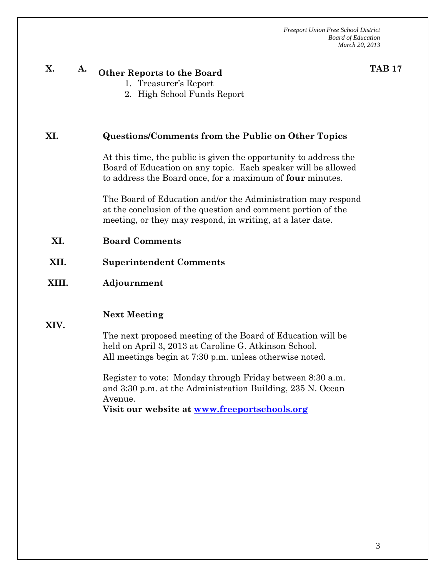**TAB 17**

# **X. A. Other Reports to the Board**

- 1. Treasurer's Report
- 2. High School Funds Report

#### **XI. Questions/Comments from the Public on Other Topics**

At this time, the public is given the opportunity to address the Board of Education on any topic. Each speaker will be allowed to address the Board once, for a maximum of **four** minutes.

The Board of Education and/or the Administration may respond at the conclusion of the question and comment portion of the meeting, or they may respond, in writing, at a later date.

- **XI. Board Comments**
- **XII. Superintendent Comments**
- **XIII. Adjournment**

#### **Next Meeting**

**XIV.** 

The next proposed meeting of the Board of Education will be held on April 3, 2013 at Caroline G. Atkinson School. All meetings begin at 7:30 p.m. unless otherwise noted.

Register to vote: Monday through Friday between 8:30 a.m. and 3:30 p.m. at the Administration Building, 235 N. Ocean Avenue.

**Visit our website at www.freeportschools.org**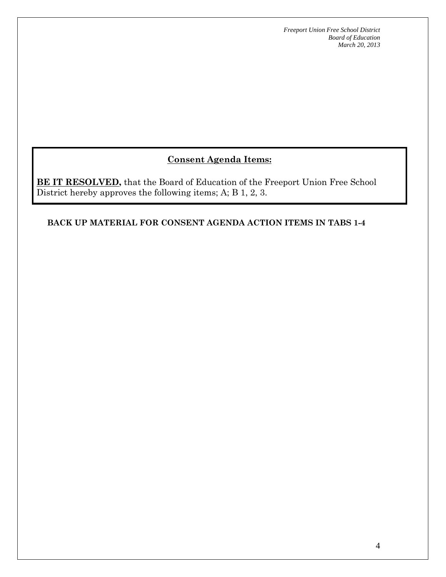# **Consent Agenda Items:**

**BE IT RESOLVED,** that the Board of Education of the Freeport Union Free School District hereby approves the following items; A; B 1, 2, 3.

#### **BACK UP MATERIAL FOR CONSENT AGENDA ACTION ITEMS IN TABS 1-4**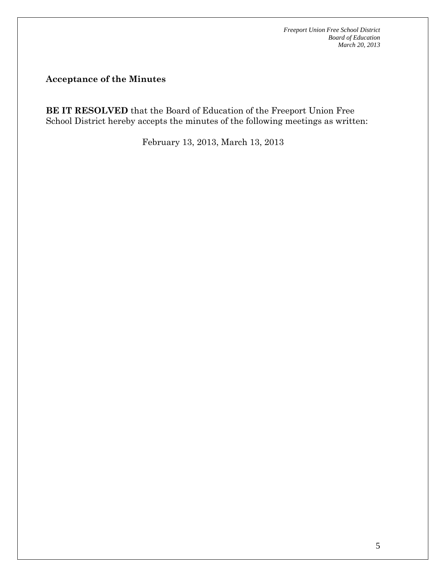**Acceptance of the Minutes** 

**BE IT RESOLVED** that the Board of Education of the Freeport Union Free School District hereby accepts the minutes of the following meetings as written:

February 13, 2013, March 13, 2013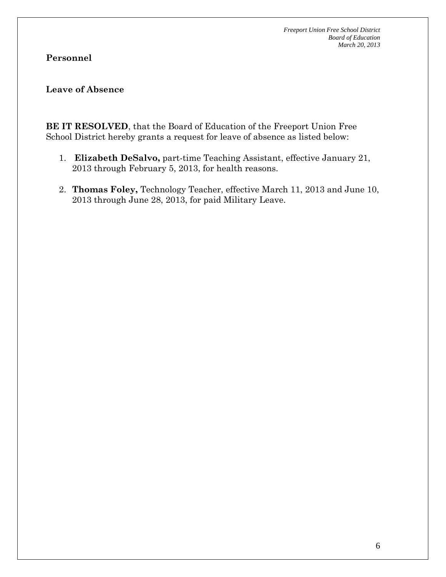#### **Personnel**

#### **Leave of Absence**

**BE IT RESOLVED**, that the Board of Education of the Freeport Union Free School District hereby grants a request for leave of absence as listed below:

- 1. **Elizabeth DeSalvo,** part-time Teaching Assistant, effective January 21, 2013 through February 5, 2013, for health reasons.
- 2. **Thomas Foley,** Technology Teacher, effective March 11, 2013 and June 10, 2013 through June 28, 2013, for paid Military Leave.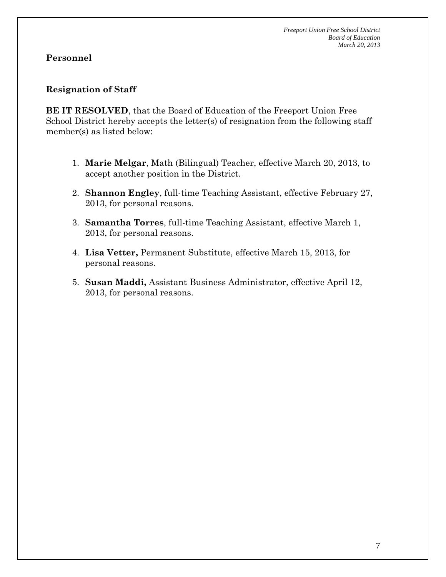#### **Resignation of Staff**

**BE IT RESOLVED**, that the Board of Education of the Freeport Union Free School District hereby accepts the letter(s) of resignation from the following staff member(s) as listed below:

- 1. **Marie Melgar**, Math (Bilingual) Teacher, effective March 20, 2013, to accept another position in the District.
- 2. **Shannon Engley**, full-time Teaching Assistant, effective February 27, 2013, for personal reasons.
- 3. **Samantha Torres**, full-time Teaching Assistant, effective March 1, 2013, for personal reasons.
- 4. **Lisa Vetter,** Permanent Substitute, effective March 15, 2013, for personal reasons.
- 5. **Susan Maddi,** Assistant Business Administrator, effective April 12, 2013, for personal reasons.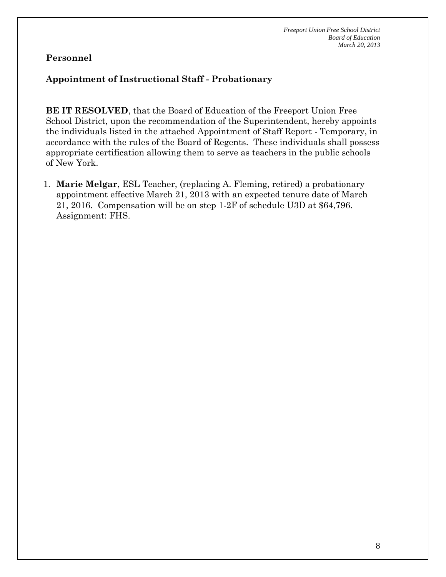#### **Appointment of Instructional Staff - Probationary**

**BE IT RESOLVED**, that the Board of Education of the Freeport Union Free School District, upon the recommendation of the Superintendent, hereby appoints the individuals listed in the attached Appointment of Staff Report - Temporary, in accordance with the rules of the Board of Regents. These individuals shall possess appropriate certification allowing them to serve as teachers in the public schools of New York.

1. **Marie Melgar**, ESL Teacher, (replacing A. Fleming, retired) a probationary appointment effective March 21, 2013 with an expected tenure date of March 21, 2016. Compensation will be on step 1-2F of schedule U3D at \$64,796. Assignment: FHS.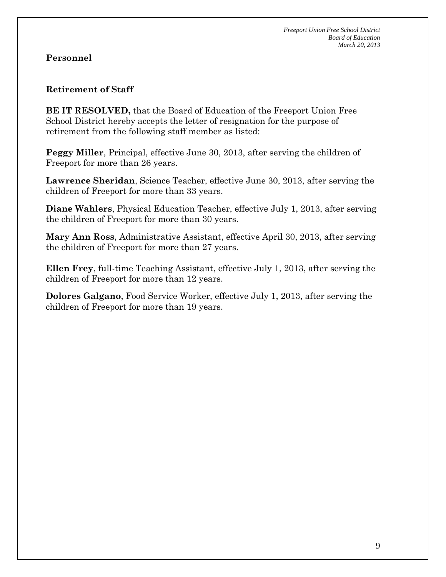#### **Retirement of Staff**

**BE IT RESOLVED,** that the Board of Education of the Freeport Union Free School District hereby accepts the letter of resignation for the purpose of retirement from the following staff member as listed:

**Peggy Miller**, Principal, effective June 30, 2013, after serving the children of Freeport for more than 26 years.

**Lawrence Sheridan**, Science Teacher, effective June 30, 2013, after serving the children of Freeport for more than 33 years.

**Diane Wahlers**, Physical Education Teacher, effective July 1, 2013, after serving the children of Freeport for more than 30 years.

**Mary Ann Ross**, Administrative Assistant, effective April 30, 2013, after serving the children of Freeport for more than 27 years.

**Ellen Frey**, full-time Teaching Assistant, effective July 1, 2013, after serving the children of Freeport for more than 12 years.

**Dolores Galgano**, Food Service Worker, effective July 1, 2013, after serving the children of Freeport for more than 19 years.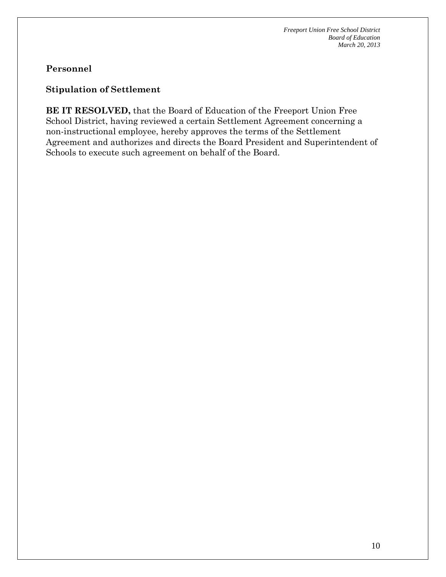### **Stipulation of Settlement**

**BE IT RESOLVED,** that the Board of Education of the Freeport Union Free School District, having reviewed a certain Settlement Agreement concerning a non-instructional employee, hereby approves the terms of the Settlement Agreement and authorizes and directs the Board President and Superintendent of Schools to execute such agreement on behalf of the Board.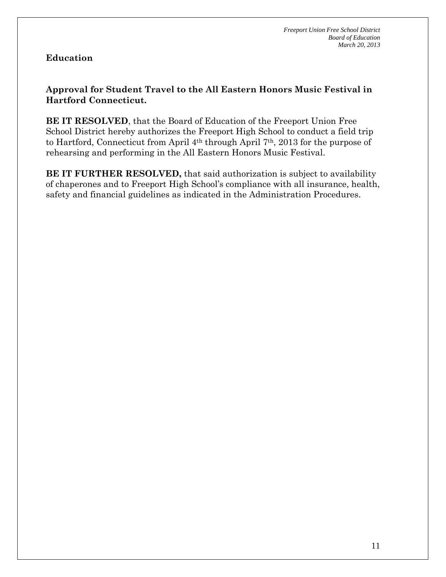#### **Education**

#### **Approval for Student Travel to the All Eastern Honors Music Festival in Hartford Connecticut.**

**BE IT RESOLVED**, that the Board of Education of the Freeport Union Free School District hereby authorizes the Freeport High School to conduct a field trip to Hartford, Connecticut from April 4th through April 7th, 2013 for the purpose of rehearsing and performing in the All Eastern Honors Music Festival.

**BE IT FURTHER RESOLVED,** that said authorization is subject to availability of chaperones and to Freeport High School's compliance with all insurance, health, safety and financial guidelines as indicated in the Administration Procedures.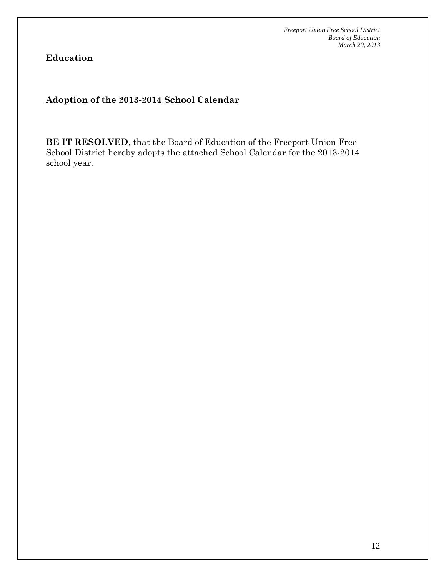**Education** 

**Adoption of the 2013-2014 School Calendar** 

**BE IT RESOLVED**, that the Board of Education of the Freeport Union Free School District hereby adopts the attached School Calendar for the 2013-2014 school year.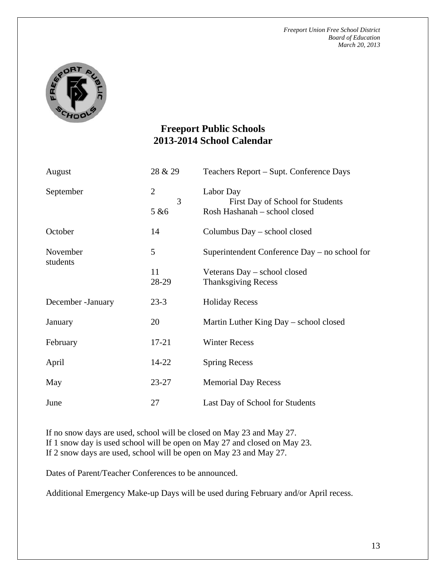

# **Freeport Public Schools 2013-2014 School Calendar**

| August               | 28 & 29             | Teachers Report – Supt. Conference Days                    |  |  |
|----------------------|---------------------|------------------------------------------------------------|--|--|
| September            | $\overline{2}$<br>3 | Labor Day<br>First Day of School for Students              |  |  |
|                      | 5 & 6               | Rosh Hashanah - school closed                              |  |  |
| October              | 14                  | Columbus Day – school closed                               |  |  |
| November<br>students | 5                   | Superintendent Conference Day - no school for              |  |  |
|                      | 11<br>28-29         | Veterans Day - school closed<br><b>Thanksgiving Recess</b> |  |  |
| December - January   | $23-3$              | <b>Holiday Recess</b>                                      |  |  |
| January              | 20                  | Martin Luther King Day – school closed                     |  |  |
| February             | $17 - 21$           | <b>Winter Recess</b>                                       |  |  |
| April                | 14-22               | <b>Spring Recess</b>                                       |  |  |
| May                  | $23 - 27$           | <b>Memorial Day Recess</b>                                 |  |  |
| June                 | 27                  | Last Day of School for Students                            |  |  |

If no snow days are used, school will be closed on May 23 and May 27. If 1 snow day is used school will be open on May 27 and closed on May 23. If 2 snow days are used, school will be open on May 23 and May 27.

Dates of Parent/Teacher Conferences to be announced.

Additional Emergency Make-up Days will be used during February and/or April recess.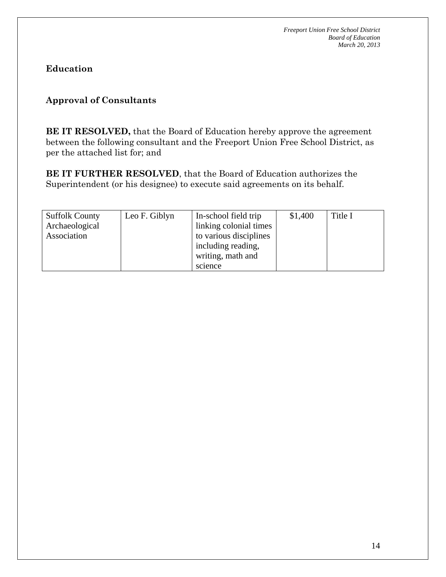**Education** 

# **Approval of Consultants**

**BE IT RESOLVED,** that the Board of Education hereby approve the agreement between the following consultant and the Freeport Union Free School District, as per the attached list for; and

**BE IT FURTHER RESOLVED**, that the Board of Education authorizes the Superintendent (or his designee) to execute said agreements on its behalf.

| <b>Suffolk County</b> | Leo F. Giblyn | In-school field trip   | \$1,400 | Title I |
|-----------------------|---------------|------------------------|---------|---------|
| Archaeological        |               | linking colonial times |         |         |
| Association           |               | to various disciplines |         |         |
|                       |               | including reading,     |         |         |
|                       |               | writing, math and      |         |         |
|                       |               | science                |         |         |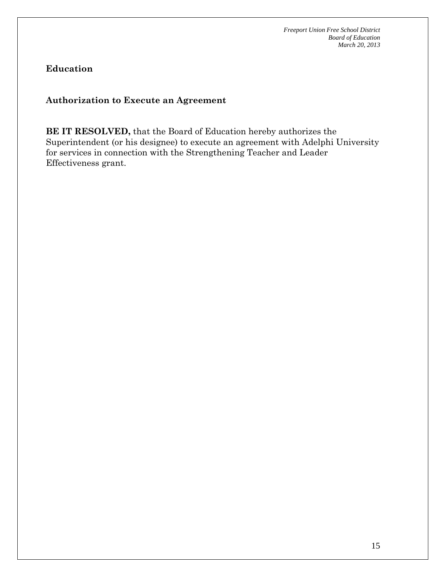**Education** 

**Authorization to Execute an Agreement** 

**BE IT RESOLVED,** that the Board of Education hereby authorizes the Superintendent (or his designee) to execute an agreement with Adelphi University for services in connection with the Strengthening Teacher and Leader Effectiveness grant.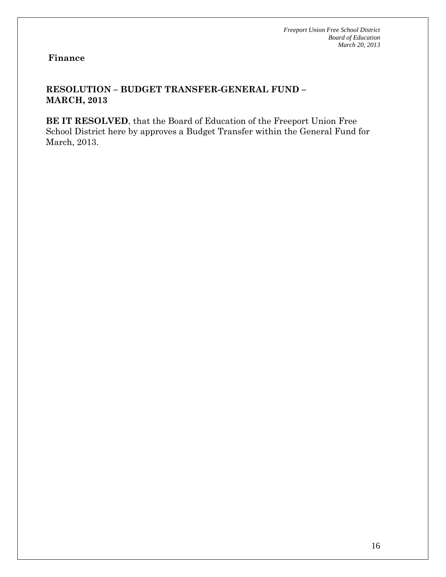#### **RESOLUTION – BUDGET TRANSFER-GENERAL FUND – MARCH, 2013**

**BE IT RESOLVED**, that the Board of Education of the Freeport Union Free School District here by approves a Budget Transfer within the General Fund for March, 2013.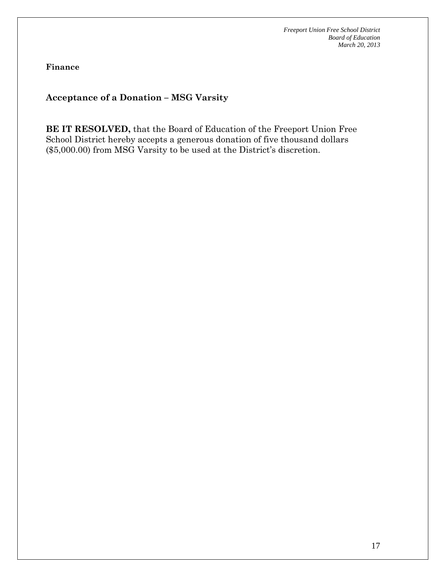**Finance** 

**Acceptance of a Donation – MSG Varsity** 

**BE IT RESOLVED,** that the Board of Education of the Freeport Union Free School District hereby accepts a generous donation of five thousand dollars (\$5,000.00) from MSG Varsity to be used at the District's discretion.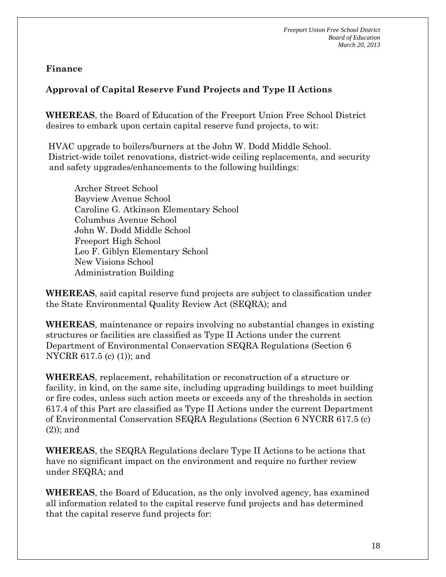# **Approval of Capital Reserve Fund Projects and Type II Actions**

**WHEREAS**, the Board of Education of the Freeport Union Free School District desires to embark upon certain capital reserve fund projects, to wit:

 HVAC upgrade to boilers/burners at the John W. Dodd Middle School. District-wide toilet renovations, district-wide ceiling replacements, and security and safety upgrades/enhancements to the following buildings:

 Archer Street School Bayview Avenue School Caroline G. Atkinson Elementary School Columbus Avenue School John W. Dodd Middle School Freeport High School Leo F. Giblyn Elementary School New Visions School Administration Building

**WHEREAS**, said capital reserve fund projects are subject to classification under the State Environmental Quality Review Act (SEQRA); and

**WHEREAS**, maintenance or repairs involving no substantial changes in existing structures or facilities are classified as Type II Actions under the current Department of Environmental Conservation SEQRA Regulations (Section 6 NYCRR 617.5 (c) (1)); and

**WHEREAS**, replacement, rehabilitation or reconstruction of a structure or facility, in kind, on the same site, including upgrading buildings to meet building or fire codes, unless such action meets or exceeds any of the thresholds in section 617.4 of this Part are classified as Type II Actions under the current Department of Environmental Conservation SEQRA Regulations (Section 6 NYCRR 617.5 (c) (2)); and

**WHEREAS**, the SEQRA Regulations declare Type II Actions to be actions that have no significant impact on the environment and require no further review under SEQRA; and

**WHEREAS**, the Board of Education, as the only involved agency, has examined all information related to the capital reserve fund projects and has determined that the capital reserve fund projects for: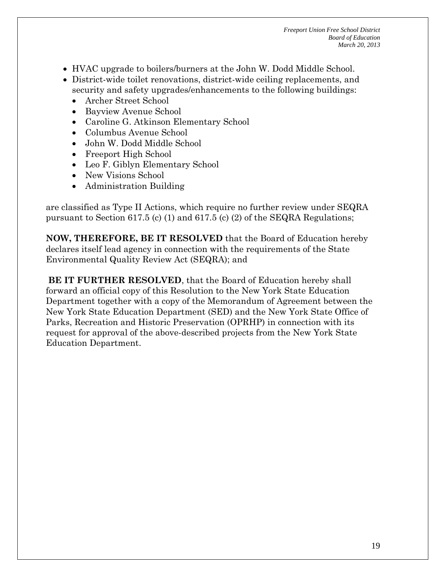- HVAC upgrade to boilers/burners at the John W. Dodd Middle School.
- District-wide toilet renovations, district-wide ceiling replacements, and security and safety upgrades/enhancements to the following buildings:
	- Archer Street School
	- Bayview Avenue School
	- Caroline G. Atkinson Elementary School
	- Columbus Avenue School
	- John W. Dodd Middle School
	- Freeport High School
	- Leo F. Giblyn Elementary School
	- New Visions School
	- Administration Building

are classified as Type II Actions, which require no further review under SEQRA pursuant to Section 617.5 (c) (1) and 617.5 (c) (2) of the SEQRA Regulations;

**NOW, THEREFORE, BE IT RESOLVED** that the Board of Education hereby declares itself lead agency in connection with the requirements of the State Environmental Quality Review Act (SEQRA); and

**BE IT FURTHER RESOLVED**, that the Board of Education hereby shall forward an official copy of this Resolution to the New York State Education Department together with a copy of the Memorandum of Agreement between the New York State Education Department (SED) and the New York State Office of Parks, Recreation and Historic Preservation (OPRHP) in connection with its request for approval of the above-described projects from the New York State Education Department.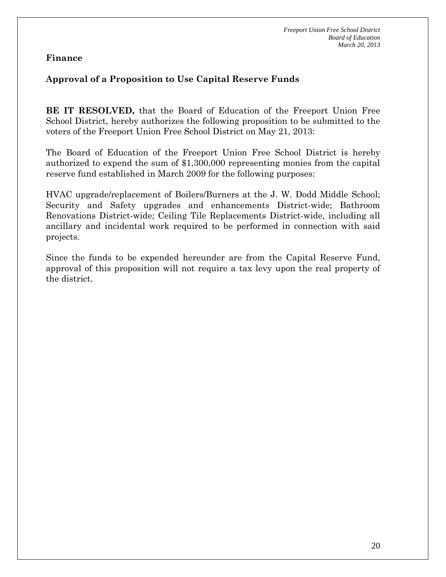#### **Approval of a Proposition to Use Capital Reserve Funds**

**BE IT RESOLVED,** that the Board of Education of the Freeport Union Free School District, hereby authorizes the following proposition to be submitted to the voters of the Freeport Union Free School District on May 21, 2013:

The Board of Education of the Freeport Union Free School District is hereby authorized to expend the sum of \$1,300,000 representing monies from the capital reserve fund established in March 2009 for the following purposes:

HVAC upgrade/replacement of Boilers/Burners at the J. W. Dodd Middle School; Security and Safety upgrades and enhancements District-wide; Bathroom Renovations District-wide; Ceiling Tile Replacements District-wide, including all ancillary and incidental work required to be performed in connection with said projects.

Since the funds to be expended hereunder are from the Capital Reserve Fund, approval of this proposition will not require a tax levy upon the real property of the district.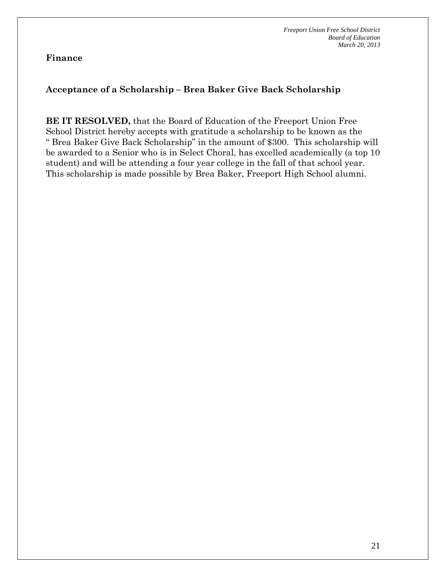#### **Acceptance of a Scholarship – Brea Baker Give Back Scholarship**

**BE IT RESOLVED,** that the Board of Education of the Freeport Union Free School District hereby accepts with gratitude a scholarship to be known as the " Brea Baker Give Back Scholarship" in the amount of \$300. This scholarship will be awarded to a Senior who is in Select Choral, has excelled academically (a top 10 student) and will be attending a four year college in the fall of that school year. This scholarship is made possible by Brea Baker, Freeport High School alumni.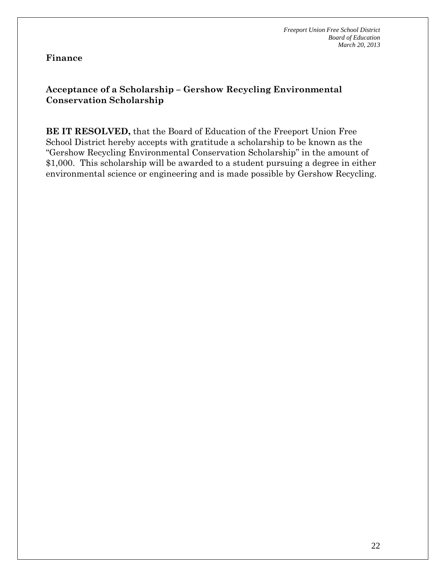### **Acceptance of a Scholarship – Gershow Recycling Environmental Conservation Scholarship**

**BE IT RESOLVED,** that the Board of Education of the Freeport Union Free School District hereby accepts with gratitude a scholarship to be known as the "Gershow Recycling Environmental Conservation Scholarship" in the amount of \$1,000. This scholarship will be awarded to a student pursuing a degree in either environmental science or engineering and is made possible by Gershow Recycling.